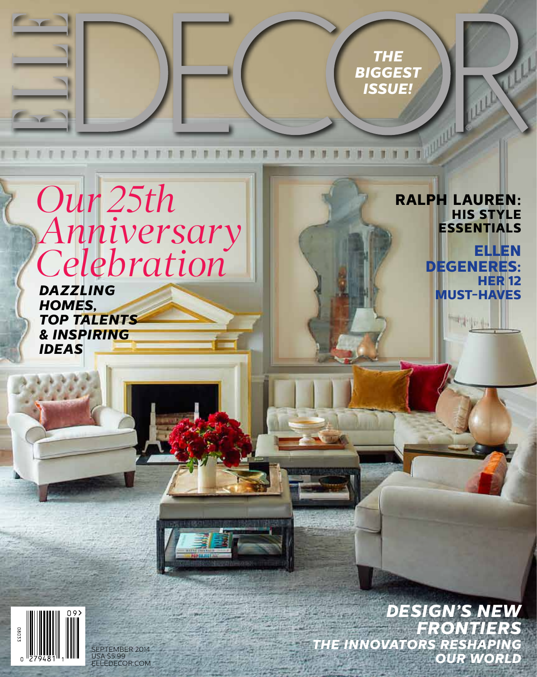*The*  **BIGGES** *Issue!*

**Ralph Lauren:** 

**His Style Essentials**

**RALL** 

**DeGeneres:**

"kpt

**Ellen**

**Her 12** 

## *Our 25th Anniversary Celebration*

**DAZZLING** *MUST-HAVES Homes, Top Talents & Inspiring Ideas*

> *The Innovators Reshaping Our World Design's New Frontiers*

EPTEMBER 2014 USA \$5.99 ELLEDECOR.COM

58033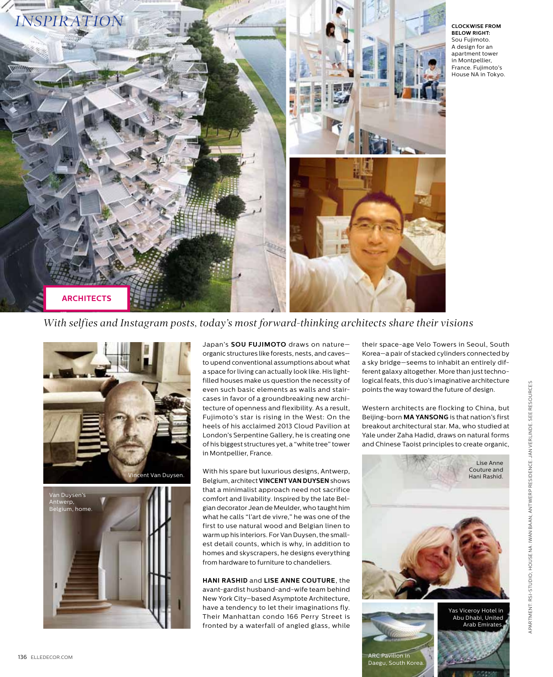

**Clockwise from below right:**  Sou Fujimoto. A design for an apartment tower in Montpellier, France. Fujimoto's House NA in Tokyo.

*With selfies and Instagram posts, today's most forward-thinking architects share their visions*





Japan's **Sou Fujimoto** draws on nature organic structures like forests, nests, and caves to upend conventional assumptions about what a space for living can actually look like. His lightfilled houses make us question the necessity of even such basic elements as walls and staircases in favor of a groundbreaking new architecture of openness and flexibility. As a result, Fujimoto's star is rising in the West: On the heels of his acclaimed 2013 Cloud Pavilion at London's Serpentine Gallery, he is creating one of his biggest structures yet, a "white tree" tower in Montpellier, France.

With his spare but luxurious designs, Antwerp, Vincent Van Duysen.<br>Belgium, architect **VINCENT VAN DUYSEN** shows and the shows than Rashid. that a minimalist approach need not sacrifice comfort and livability. Inspired by the late Belgian decorator Jean de Meulder, who taught him what he calls "l'art de vivre," he was one of the first to use natural wood and Belgian linen to warm up his interiors. For Van Duysen, the smallest detail counts, which is why, in addition to homes and skyscrapers, he designs everything from hardware to furniture to chandeliers.

> **Hani Rashid** and **Lise Anne Couture**, the avant-gardist husband-and-wife team behind New York City–based Asymptote Architecture, have a tendency to let their imaginations fly. Their Manhattan condo 166 Perry Street is fronted by a waterfall of angled glass, while

their space-age Velo Towers in Seoul, South Korea—a pair of stacked cylinders connected by a sky bridge—seems to inhabit an entirely different galaxy altogether. More than just technological feats, this duo's imaginative architecture points the way toward the future of design.

Western architects are flocking to China, but Beijing-born **Ma Yansong** is that nation's first breakout architectural star. Ma, who studied at Yale under Zaha Hadid, draws on natural forms and Chinese Taoist principles to create organic,



Arab Emirates.

Abu Dhabi, United